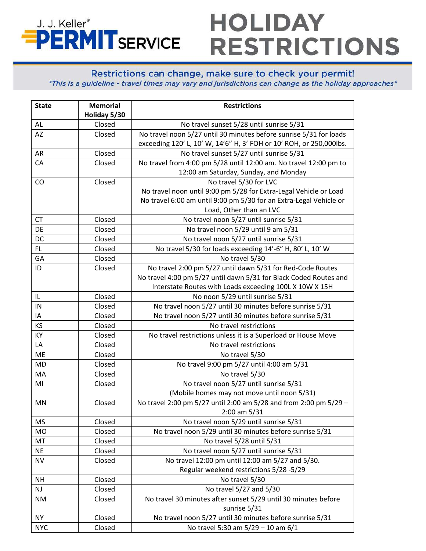## **HOLIDAY** J. J. Keller® **PERMITSERVICE RESTRICTIONS**

## Restrictions can change, make sure to check your permit!

\*This is a guideline - travel times may vary and jurisdictions can change as the holiday approaches\*

| <b>State</b>  | <b>Memorial</b> | <b>Restrictions</b>                                                 |
|---------------|-----------------|---------------------------------------------------------------------|
|               | Holiday 5/30    |                                                                     |
| AL            | Closed          | No travel sunset 5/28 until sunrise 5/31                            |
| AZ            | Closed          | No travel noon 5/27 until 30 minutes before sunrise 5/31 for loads  |
|               |                 | exceeding 120' L, 10' W, 14'6" H, 3' FOH or 10' ROH, or 250,000lbs. |
| AR            | Closed          | No travel sunset 5/27 until sunrise 5/31                            |
| CA            | Closed          | No travel from 4:00 pm 5/28 until 12:00 am. No travel 12:00 pm to   |
|               |                 | 12:00 am Saturday, Sunday, and Monday                               |
| CO            | Closed          | No travel 5/30 for LVC                                              |
|               |                 | No travel noon until 9:00 pm 5/28 for Extra-Legal Vehicle or Load   |
|               |                 | No travel 6:00 am until 9:00 pm 5/30 for an Extra-Legal Vehicle or  |
|               |                 | Load, Other than an LVC                                             |
| <b>CT</b>     | Closed          | No travel noon 5/27 until sunrise 5/31                              |
| DE            | Closed          | No travel noon 5/29 until 9 am 5/31                                 |
| DC            | Closed          | No travel noon 5/27 until sunrise 5/31                              |
| FL.           | Closed          | No travel 5/30 for loads exceeding 14'-6" H, 80' L, 10' W           |
| GA            | Closed          | No travel 5/30                                                      |
| ID            | Closed          | No travel 2:00 pm 5/27 until dawn 5/31 for Red-Code Routes          |
|               |                 | No travel 4:00 pm 5/27 until dawn 5/31 for Black Coded Routes and   |
|               |                 | Interstate Routes with Loads exceeding 100L X 10W X 15H             |
| IL            | Closed          | No noon 5/29 until sunrise 5/31                                     |
| IN            | Closed          | No travel noon 5/27 until 30 minutes before sunrise 5/31            |
| IA            | Closed          | No travel noon 5/27 until 30 minutes before sunrise 5/31            |
| KS            | Closed          | No travel restrictions                                              |
| KY            | Closed          | No travel restrictions unless it is a Superload or House Move       |
| LA            | Closed          | No travel restrictions                                              |
| ME            | Closed          | No travel 5/30                                                      |
| MD            | Closed          | No travel 9:00 pm 5/27 until 4:00 am 5/31                           |
| MA            | Closed          | No travel 5/30                                                      |
| MI            | Closed          | No travel noon 5/27 until sunrise 5/31                              |
|               |                 | (Mobile homes may not move until noon 5/31)                         |
| MN            | Closed          | No travel 2:00 pm 5/27 until 2:00 am 5/28 and from 2:00 pm 5/29 -   |
|               |                 | $2:00$ am $5/31$                                                    |
| <b>MS</b>     | Closed          | No travel noon 5/29 until sunrise 5/31                              |
| MO            | Closed          | No travel noon 5/29 until 30 minutes before sunrise 5/31            |
| MT            | Closed          | No travel 5/28 until 5/31                                           |
| <b>NE</b>     | Closed          | No travel noon 5/27 until sunrise 5/31                              |
| <b>NV</b>     | Closed          | No travel 12:00 pm until 12:00 am 5/27 and 5/30.                    |
|               |                 | Regular weekend restrictions 5/28 -5/29                             |
| <b>NH</b>     | Closed          | No travel 5/30                                                      |
| $\mathsf{NJ}$ | Closed          | No travel 5/27 and 5/30                                             |
| ΝM            | Closed          | No travel 30 minutes after sunset 5/29 until 30 minutes before      |
|               |                 | sunrise 5/31                                                        |
| <b>NY</b>     | Closed          | No travel noon 5/27 until 30 minutes before sunrise 5/31            |
| <b>NYC</b>    | Closed          | No travel 5:30 am 5/29 - 10 am 6/1                                  |